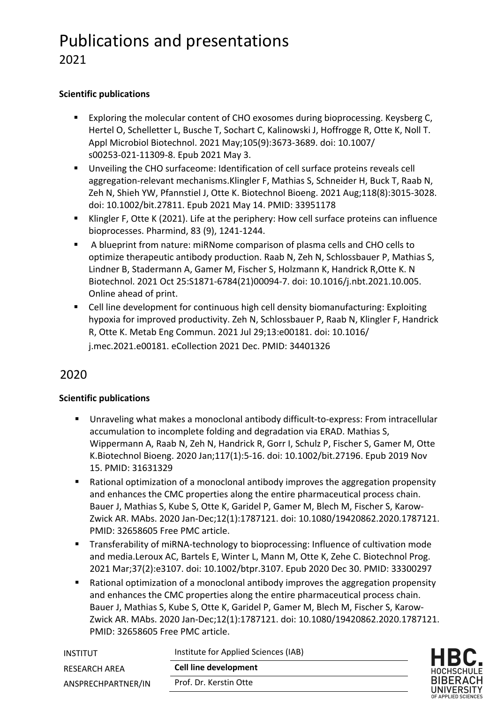# Publications and presentations 2021

## **Scientific publications**

- Exploring the molecular content of CHO exosomes during bioprocessing. Keysberg C, Hertel O, Schelletter L, Busche T, Sochart C, Kalinowski J, Hoffrogge R, Otte K, Noll T. Appl Microbiol Biotechnol. 2021 May;105(9):3673-3689. doi: 10.1007/ s00253-021-11309-8. Epub 2021 May 3.
- Unveiling the CHO surfaceome: Identification of cell surface proteins reveals cell aggregation-relevant mechanisms.Klingler F, Mathias S, Schneider H, Buck T, Raab N, Zeh N, Shieh YW, Pfannstiel J, Otte K. Biotechnol Bioeng. 2021 Aug;118(8):3015-3028. doi: 10.1002/bit.27811. Epub 2021 May 14. PMID: 33951178
- Klingler F, Otte K (2021). Life at the periphery: How cell surface proteins can influence bioprocesses. Pharmind, 83 (9), 1241-1244.
- § A blueprint from nature: miRNome comparison of plasma cells and CHO cells to optimize therapeutic antibody production. Raab N, Zeh N, Schlossbauer P, Mathias S, Lindner B, Stadermann A, Gamer M, Fischer S, Holzmann K, Handrick R,Otte K. N Biotechnol. 2021 Oct 25:S1871-6784(21)00094-7. doi: 10.1016/j.nbt.2021.10.005. Online ahead of print.
- Cell line development for continuous high cell density biomanufacturing: Exploiting hypoxia for improved productivity. Zeh N, Schlossbauer P, Raab N, Klingler F, Handrick R, Otte K. Metab Eng Commun. 2021 Jul 29;13:e00181. doi: 10.1016/ j.mec.2021.e00181. eCollection 2021 Dec. PMID: 34401326

# 2020

## **Scientific publications**

- § Unraveling what makes a monoclonal antibody difficult-to-express: From intracellular accumulation to incomplete folding and degradation via ERAD. Mathias S, Wippermann A, Raab N, Zeh N, Handrick R, Gorr I, Schulz P, Fischer S, Gamer M, Otte K.Biotechnol Bioeng. 2020 Jan;117(1):5-16. doi: 10.1002/bit.27196. Epub 2019 Nov 15. PMID: 31631329
- Rational optimization of a monoclonal antibody improves the aggregation propensity and enhances the CMC properties along the entire pharmaceutical process chain. Bauer J, Mathias S, Kube S, Otte K, Garidel P, Gamer M, Blech M, Fischer S, Karow-Zwick AR. MAbs. 2020 Jan-Dec;12(1):1787121. doi: 10.1080/19420862.2020.1787121. PMID: 32658605 Free PMC article.
- Transferability of miRNA-technology to bioprocessing: Influence of cultivation mode and media.Leroux AC, Bartels E, Winter L, Mann M, Otte K, Zehe C. Biotechnol Prog. 2021 Mar;37(2):e3107. doi: 10.1002/btpr.3107. Epub 2020 Dec 30. PMID: 33300297
- Rational optimization of a monoclonal antibody improves the aggregation propensity and enhances the CMC properties along the entire pharmaceutical process chain. Bauer J, Mathias S, Kube S, Otte K, Garidel P, Gamer M, Blech M, Fischer S, Karow-Zwick AR. MAbs. 2020 Jan-Dec;12(1):1787121. doi: 10.1080/19420862.2020.1787121. PMID: 32658605 Free PMC article.

| INSTITUT             | Institute for Applied Sciences (IAB) | <b>HBC</b>                       |
|----------------------|--------------------------------------|----------------------------------|
| <b>RESEARCH AREA</b> | <b>Cell line development</b>         | HOCHSCHU                         |
| ANSPRECHPARTNER/IN   | Prof. Dr. Kerstin Otte               | <b>BIBERA</b><br><b>UNIVERSI</b> |
|                      |                                      | OF APPLIED SCIEN                 |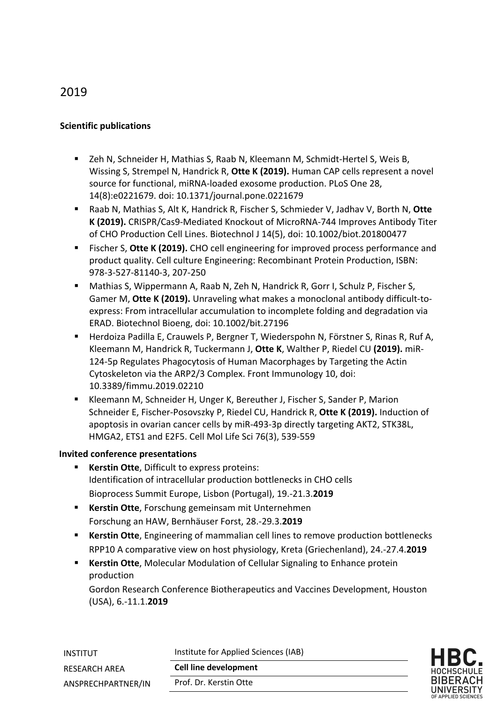# 2019

## **Scientific publications**

- Zeh N, Schneider H, Mathias S, Raab N, Kleemann M, Schmidt-Hertel S, Weis B, Wissing S, Strempel N, Handrick R, **Otte K (2019).** Human CAP cells represent a novel source for functional, miRNA-loaded exosome production. PLoS One 28, 14(8):e0221679. doi: 10.1371/journal.pone.0221679
- Raab N, Mathias S, Alt K, Handrick R, Fischer S, Schmieder V, Jadhav V, Borth N, Otte **K (2019).** CRISPR/Cas9-Mediated Knockout of MicroRNA-744 Improves Antibody Titer of CHO Production Cell Lines. Biotechnol J 14(5), doi: 10.1002/biot.201800477
- Fischer S, Otte K (2019). CHO cell engineering for improved process performance and product quality. Cell culture Engineering: Recombinant Protein Production, ISBN: 978-3-527-81140-3, 207-250
- Mathias S, Wippermann A, Raab N, Zeh N, Handrick R, Gorr I, Schulz P, Fischer S, Gamer M, **Otte K (2019).** Unraveling what makes a monoclonal antibody difficult-toexpress: From intracellular accumulation to incomplete folding and degradation via ERAD. Biotechnol Bioeng, doi: 10.1002/bit.27196
- Herdoiza Padilla E, Crauwels P, Bergner T, Wiederspohn N, Förstner S, Rinas R, Ruf A, Kleemann M, Handrick R, Tuckermann J, **Otte K**, Walther P, Riedel CU **(2019).** miR-124-5p Regulates Phagocytosis of Human Macorphages by Targeting the Actin Cytoskeleton via the ARP2/3 Complex. Front Immunology 10, doi: 10.3389/fimmu.2019.02210
- Kleemann M, Schneider H, Unger K, Bereuther J, Fischer S, Sander P, Marion Schneider E, Fischer-Posovszky P, Riedel CU, Handrick R, **Otte K (2019).** Induction of apoptosis in ovarian cancer cells by miR-493-3p directly targeting AKT2, STK38L, HMGA2, ETS1 and E2F5. Cell Mol Life Sci 76(3), 539-559

#### **Invited conference presentations**

- **Kerstin Otte, Difficult to express proteins:** Identification of intracellular production bottlenecks in CHO cells Bioprocess Summit Europe, Lisbon (Portugal), 19.-21.3.**2019**
- § **Kerstin Otte**, Forschung gemeinsam mit Unternehmen Forschung an HAW, Bernhäuser Forst, 28.-29.3.**2019**
- **Kerstin Otte**, Engineering of mammalian cell lines to remove production bottlenecks RPP10 A comparative view on host physiology, Kreta (Griechenland), 24.-27.4.**2019**
- **Kerstin Otte**, Molecular Modulation of Cellular Signaling to Enhance protein production

Gordon Research Conference Biotherapeutics and Vaccines Development, Houston (USA), 6.-11.1.**2019**

| INSTITUT             | Institute for Applied Sciences (IAB) | <b>HBC</b>                         |
|----------------------|--------------------------------------|------------------------------------|
| <b>RESEARCH AREA</b> | <b>Cell line development</b>         | HOCHSCHUI                          |
| ANSPRECHPARTNER/IN   | Prof. Dr. Kerstin Otte               | <b>BIBERAC</b><br><b>UNIVERSIT</b> |
|                      |                                      | OF APPLIED SCIENG                  |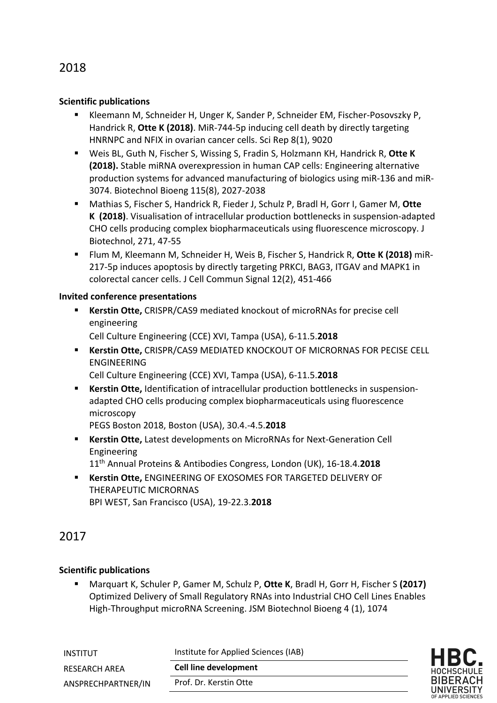# 2018

#### **Scientific publications**

- Kleemann M, Schneider H, Unger K, Sander P, Schneider EM, Fischer-Posovszky P, Handrick R, **Otte K (2018)**. MiR-744-5p inducing cell death by directly targeting HNRNPC and NFIX in ovarian cancer cells. Sci Rep 8(1), 9020
- § Weis BL, Guth N, Fischer S, Wissing S, Fradin S, Holzmann KH, Handrick R, **Otte K (2018).** Stable miRNA overexpression in human CAP cells: Engineering alternative production systems for advanced manufacturing of biologics using miR-136 and miR-3074. Biotechnol Bioeng 115(8), 2027-2038
- Mathias S, Fischer S, Handrick R, Fieder J, Schulz P, Bradl H, Gorr I, Gamer M, Otte **K (2018)**. Visualisation of intracellular production bottlenecks in suspension-adapted CHO cells producing complex biopharmaceuticals using fluorescence microscopy. J Biotechnol, 271, 47-55
- § Flum M, Kleemann M, Schneider H, Weis B, Fischer S, Handrick R, **Otte K (2018)** miR-217-5p induces apoptosis by directly targeting PRKCI, BAG3, ITGAV and MAPK1 in colorectal cancer cells. J Cell Commun Signal 12(2), 451-466

#### **Invited conference presentations**

- § **Kerstin Otte,** CRISPR/CAS9 mediated knockout of microRNAs for precise cell engineering Cell Culture Engineering (CCE) XVI, Tampa (USA), 6-11.5.**2018**
- § **Kerstin Otte,** CRISPR/CAS9 MEDIATED KNOCKOUT OF MICRORNAS FOR PECISE CELL ENGINEERING Cell Culture Engineering (CCE) XVI, Tampa (USA), 6-11.5.**2018**
- Kerstin Otte, Identification of intracellular production bottlenecks in suspensionadapted CHO cells producing complex biopharmaceuticals using fluorescence microscopy

PEGS Boston 2018, Boston (USA), 30.4.-4.5.**2018**

§ **Kerstin Otte,** Latest developments on MicroRNAs for Next-Generation Cell Engineering

11th Annual Proteins & Antibodies Congress, London (UK), 16-18.4.**2018**

§ **Kerstin Otte,** ENGINEERING OF EXOSOMES FOR TARGETED DELIVERY OF THERAPEUTIC MICRORNAS BPI WEST, San Francisco (USA), 19-22.3.**2018**

## 2017

## **Scientific publications**

§ Marquart K, Schuler P, Gamer M, Schulz P, **Otte K**, Bradl H, Gorr H, Fischer S **(2017)** Optimized Delivery of Small Regulatory RNAs into Industrial CHO Cell Lines Enables High-Throughput microRNA Screening. JSM Biotechnol Bioeng 4 (1), 1074

| INSTITUT                            | Institute for Applied Sciences (IAB)                   | HBC.                                        |
|-------------------------------------|--------------------------------------------------------|---------------------------------------------|
| RESEARCH AREA<br>ANSPRECHPARTNER/IN | <b>Cell line development</b><br>Prof. Dr. Kerstin Otte | HOCHSCHULE<br><b>BIBERACH</b><br>UNIVERSITY |
|                                     |                                                        |                                             |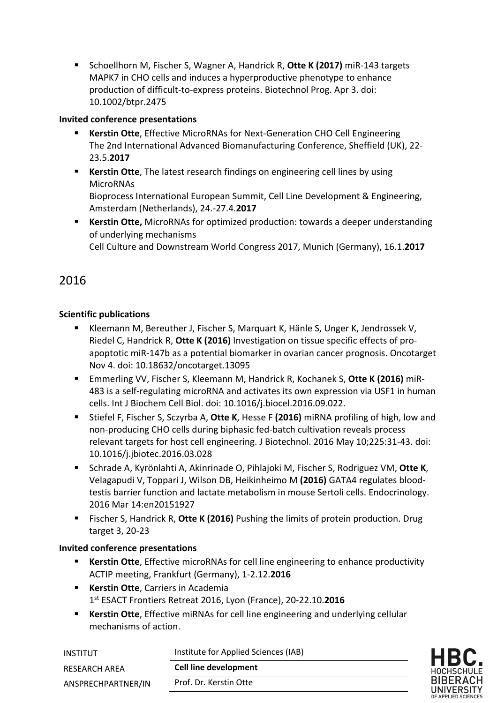■ Schoellhorn M, Fischer S, Wagner A, Handrick R, Otte K (2017) miR-143 targets MAPK7 in CHO cells and induces a hyperproductive phenotype to enhance production of difficult-to-express proteins. Biotechnol Prog. Apr 3. doi: 10.1002/btpr.2475

## **Invited conference presentations**

- **Kerstin Otte**, Effective MicroRNAs for Next-Generation CHO Cell Engineering The 2nd International Advanced Biomanufacturing Conference, Sheffield (UK), 22- 23.5.**2017**
- § **Kerstin Otte**, The latest research findings on engineering cell lines by using **MicroRNAs** Bioprocess International European Summit, Cell Line Development & Engineering, Amsterdam (Netherlands), 24.-27.4.**2017**
- **Kerstin Otte,** MicroRNAs for optimized production: towards a deeper understanding of underlying mechanisms

Cell Culture and Downstream World Congress 2017, Munich (Germany), 16.1.**2017**

# 2016

## **Scientific publications**

- Kleemann M, Bereuther J, Fischer S, Marquart K, Hänle S, Unger K, Jendrossek V, Riedel C, Handrick R, **Otte K (2016)** Investigation on tissue specific effects of proapoptotic miR-147b as a potential biomarker in ovarian cancer prognosis. Oncotarget Nov 4. doi: 10.18632/oncotarget.13095
- § Emmerling VV, Fischer S, Kleemann M, Handrick R, Kochanek S, **Otte K (2016)** miR-483 is a self-regulating microRNA and activates its own expression via USF1 in human cells. Int J Biochem Cell Biol. doi: 10.1016/j.biocel.2016.09.022.
- Stiefel F, Fischer S, Sczyrba A, Otte K, Hesse F (2016) miRNA profiling of high, low and non-producing CHO cells during biphasic fed-batch cultivation reveals process relevant targets for host cell engineering. J Biotechnol. 2016 May 10;225:31-43. doi: 10.1016/j.jbiotec.2016.03.028
- Schrade A, Kyrönlahti A, Akinrinade O, Pihlajoki M, Fischer S, Rodriguez VM, Otte K, Velagapudi V, Toppari J, Wilson DB, Heikinheimo M **(2016)** GATA4 regulates bloodtestis barrier function and lactate metabolism in mouse Sertoli cells. Endocrinology. 2016 Mar 14:en20151927
- § Fischer S, Handrick R, **Otte K (2016)** Pushing the limits of protein production. Drug target 3, 20-23

## **Invited conference presentations**

- **Kerstin Otte**, Effective microRNAs for cell line engineering to enhance productivity ACTIP meeting, Frankfurt (Germany), 1-2.12.**2016**
- § **Kerstin Otte**, Carriers in Academia 1st ESACT Frontiers Retreat 2016, Lyon (France), 20-22.10.**2016**
- **EXECT:** Kerstin Otte, Effective miRNAs for cell line engineering and underlying cellular mechanisms of action.

| INSTITUT           | Institute for Applied Sciences (IAB) | HBC.                          |
|--------------------|--------------------------------------|-------------------------------|
| RESEARCH AREA      | <b>Cell line development</b>         | HOCHSCHULE                    |
| ANSPRECHPARTNER/IN | Prof. Dr. Kerstin Otte               | <b>BIBERACH</b><br>UNIVERSITY |
|                    |                                      | OF APPLIED SCIENCES           |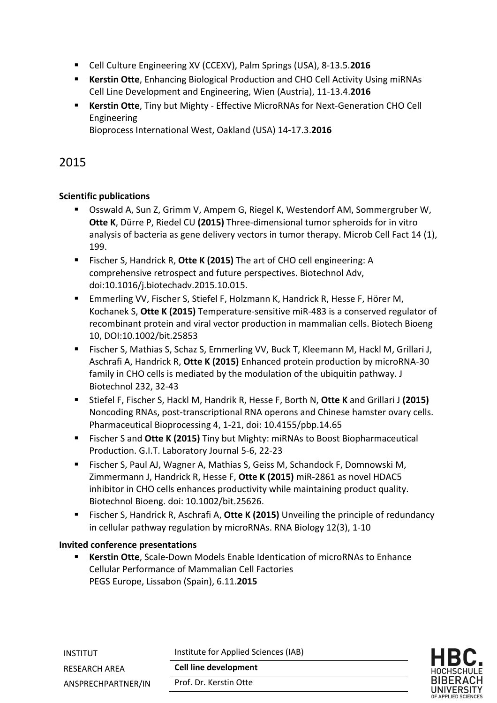- Cell Culture Engineering XV (CCEXV), Palm Springs (USA), 8-13.5.2016
- § **Kerstin Otte**, Enhancing Biological Production and CHO Cell Activity Using miRNAs Cell Line Development and Engineering, Wien (Austria), 11-13.4.**2016**
- § **Kerstin Otte**, Tiny but Mighty Effective MicroRNAs for Next-Generation CHO Cell Engineering

Bioprocess International West, Oakland (USA) 14-17.3.**2016**

# 2015

## **Scientific publications**

- Osswald A, Sun Z, Grimm V, Ampem G, Riegel K, Westendorf AM, Sommergruber W, **Otte K**, Dürre P, Riedel CU **(2015)** Three-dimensional tumor spheroids for in vitro analysis of bacteria as gene delivery vectors in tumor therapy. Microb Cell Fact 14 (1), 199.
- Fischer S, Handrick R, **Otte K (2015)** The art of CHO cell engineering: A comprehensive retrospect and future perspectives. Biotechnol Adv, doi:10.1016/j.biotechadv.2015.10.015.
- Emmerling VV, Fischer S, Stiefel F, Holzmann K, Handrick R, Hesse F, Hörer M, Kochanek S, **Otte K (2015)** Temperature-sensitive miR-483 is a conserved regulator of recombinant protein and viral vector production in mammalian cells. Biotech Bioeng 10, DOI:10.1002/bit.25853
- Fischer S, Mathias S, Schaz S, Emmerling VV, Buck T, Kleemann M, Hackl M, Grillari J, Aschrafi A, Handrick R, **Otte K (2015)** Enhanced protein production by microRNA-30 family in CHO cells is mediated by the modulation of the ubiquitin pathway. J Biotechnol 232, 32-43
- § Stiefel F, Fischer S, Hackl M, Handrik R, Hesse F, Borth N, **Otte K** and Grillari J **(2015)** Noncoding RNAs, post-transcriptional RNA operons and Chinese hamster ovary cells. Pharmaceutical Bioprocessing 4, 1-21, doi: 10.4155/pbp.14.65
- Fischer S and Otte K (2015) Tiny but Mighty: miRNAs to Boost Biopharmaceutical Production. G.I.T. Laboratory Journal 5-6, 22-23
- Fischer S, Paul AJ, Wagner A, Mathias S, Geiss M, Schandock F, Domnowski M, Zimmermann J, Handrick R, Hesse F, **Otte K (2015)** miR-2861 as novel HDAC5 inhibitor in CHO cells enhances productivity while maintaining product quality. Biotechnol Bioeng. doi: 10.1002/bit.25626.
- Fischer S, Handrick R, Aschrafi A, Otte K (2015) Unveiling the principle of redundancy in cellular pathway regulation by microRNAs. RNA Biology 12(3), 1-10

## **Invited conference presentations**

§ **Kerstin Otte**, Scale-Down Models Enable Identication of microRNAs to Enhance Cellular Performance of Mammalian Cell Factories PEGS Europe, Lissabon (Spain), 6.11.**2015**

| INSTITUT           | Institute for Applied Sciences (IAB) | <b>HBC</b>                       |
|--------------------|--------------------------------------|----------------------------------|
| RESEARCH AREA      | <b>Cell line development</b>         | HOCHSCHL                         |
| ANSPRECHPARTNER/IN | Prof. Dr. Kerstin Otte               | <b>BIBERA</b><br><b>UNIVERSI</b> |
|                    |                                      | OF APPLIED SCIEI                 |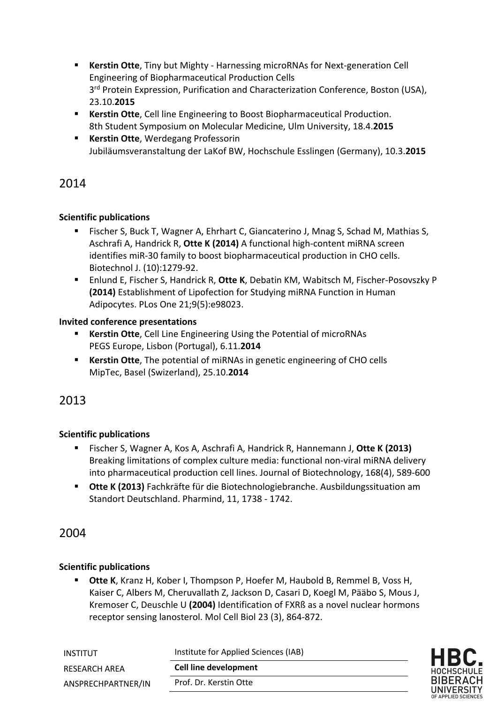- § **Kerstin Otte**, Tiny but Mighty Harnessing microRNAs for Next-generation Cell Engineering of Biopharmaceutical Production Cells 3<sup>rd</sup> Protein Expression, Purification and Characterization Conference, Boston (USA), 23.10.**2015**
- § **Kerstin Otte**, Cell line Engineering to Boost Biopharmaceutical Production. 8th Student Symposium on Molecular Medicine, Ulm University, 18.4.**2015**
- **Kerstin Otte**, Werdegang Professorin Jubiläumsveranstaltung der LaKof BW, Hochschule Esslingen (Germany), 10.3.**2015**

# 2014

## **Scientific publications**

- Fischer S, Buck T, Wagner A, Ehrhart C, Giancaterino J, Mnag S, Schad M, Mathias S, Aschrafi A, Handrick R, **Otte K (2014)** A functional high-content miRNA screen identifies miR-30 family to boost biopharmaceutical production in CHO cells. Biotechnol J. (10):1279-92.
- § Enlund E, Fischer S, Handrick R, **Otte K**, Debatin KM, Wabitsch M, Fischer-Posovszky P **(2014)** Establishment of Lipofection for Studying miRNA Function in Human Adipocytes. PLos One 21;9(5):e98023.

## **Invited conference presentations**

- **Kerstin Otte**, Cell Line Engineering Using the Potential of microRNAs PEGS Europe, Lisbon (Portugal), 6.11.**2014**
- § **Kerstin Otte**, The potential of miRNAs in genetic engineering of CHO cells MipTec, Basel (Swizerland), 25.10.**2014**

# 2013

## **Scientific publications**

- § Fischer S, Wagner A, Kos A, Aschrafi A, Handrick R, Hannemann J, **Otte K (2013)** Breaking limitations of complex culture media: functional non-viral miRNA delivery into pharmaceutical production cell lines. Journal of Biotechnology, 168(4), 589-600
- § **Otte K (2013)** Fachkräfte für die Biotechnologiebranche. Ausbildungssituation am Standort Deutschland. Pharmind, 11, 1738 - 1742.

# 2004

## **Scientific publications**

§ **Otte K**, Kranz H, Kober I, Thompson P, Hoefer M, Haubold B, Remmel B, Voss H, Kaiser C, Albers M, Cheruvallath Z, Jackson D, Casari D, Koegl M, Pääbo S, Mous J, Kremoser C, Deuschle U **(2004)** Identification of FXRß as a novel nuclear hormons receptor sensing lanosterol. Mol Cell Biol 23 (3), 864-872.

| INSTITUT           | Institute for Applied Sciences (IAB) | HBC.                          |
|--------------------|--------------------------------------|-------------------------------|
| RESEARCH AREA      | Cell line development                | HOCHSCHULE                    |
| ANSPRECHPARTNER/IN | Prof. Dr. Kerstin Otte               | <b>BIBERACH</b><br>UNIVERSITY |
|                    |                                      | OF APPLIED SCIENCES           |

ءِ<br>H